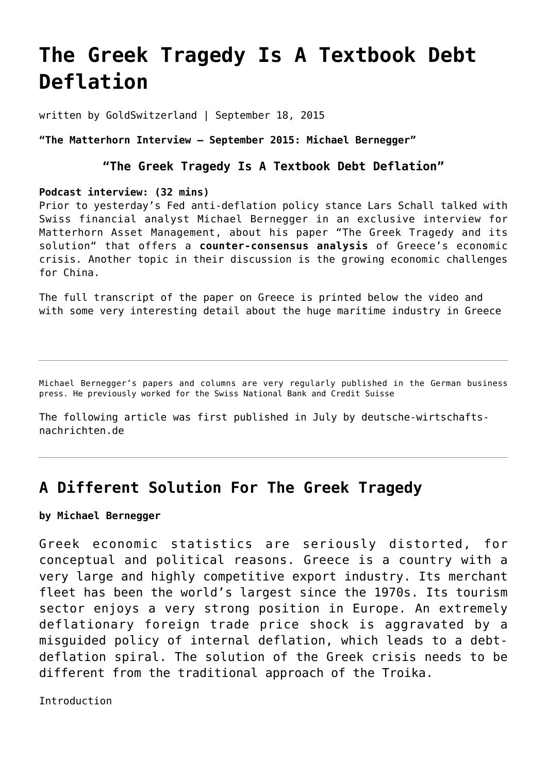# **[The Greek Tragedy Is A Textbook Debt](https://goldswitzerland.com/the-greek-tragedy-is-a-textbook-debt-deflation/) [Deflation](https://goldswitzerland.com/the-greek-tragedy-is-a-textbook-debt-deflation/)**

written by GoldSwitzerland | September 18, 2015

## **"The Matterhorn Interview – September 2015: Michael Bernegger"**

# **"The Greek Tragedy Is A Textbook Debt Deflation"**

#### **Podcast interview: (32 mins)**

Prior to yesterday's Fed anti-deflation policy stance Lars Schall talked with Swiss financial analyst Michael Bernegger in an exclusive interview for Matterhorn Asset Management, about his paper "The Greek Tragedy and its solution" that offers a **counter-consensus analysis** of Greece's economic crisis. Another topic in their discussion is the growing economic challenges for China.

The full transcript of the paper on Greece is printed below the video and with some very interesting detail about the huge maritime industry in Greece

Michael Bernegger's papers and columns are very regularly published in the German business press. He previously worked for the Swiss National Bank and Credit Suisse

The following article was first published in July by [deutsche-wirtschafts](http://deutsche-wirtschafts-nachrichten.de/2015/07/08/a-different-solution-for-the-greek-tragedy/)[nachrichten.de](http://deutsche-wirtschafts-nachrichten.de/2015/07/08/a-different-solution-for-the-greek-tragedy/)

# **A Different Solution For The Greek Tragedy**

## **by Michael Bernegger**

Greek economic statistics are seriously distorted, for conceptual and political reasons. Greece is a country with a very large and highly competitive export industry. Its merchant fleet has been the world's largest since the 1970s. Its tourism sector enjoys a very strong position in Europe. An extremely deflationary foreign trade price shock is aggravated by a misguided policy of internal deflation, which leads to a debtdeflation spiral. The solution of the Greek crisis needs to be different from the traditional approach of the Troika.

Introduction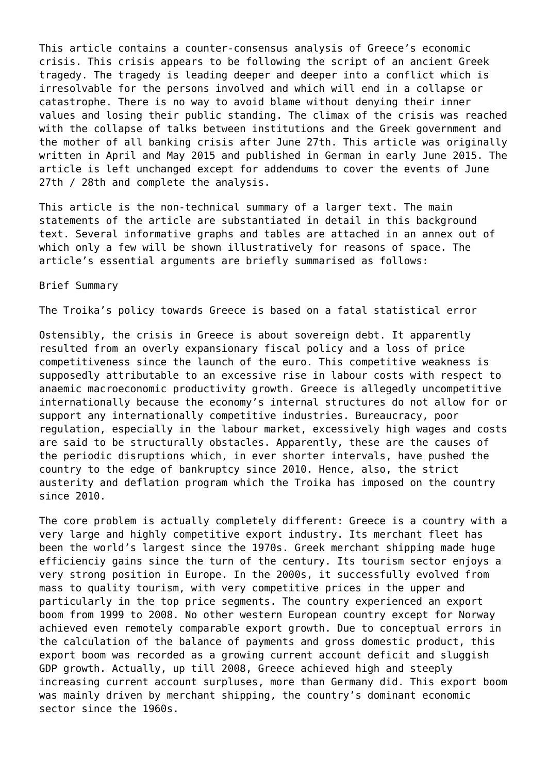This article contains a counter-consensus analysis of Greece's economic crisis. This crisis appears to be following the script of an ancient Greek tragedy. The tragedy is leading deeper and deeper into a conflict which is irresolvable for the persons involved and which will end in a collapse or catastrophe. There is no way to avoid blame without denying their inner values and losing their public standing. The climax of the crisis was reached with the collapse of talks between institutions and the Greek government and the mother of all banking crisis after June 27th. This article was originally written in April and May 2015 and published in German in early June 2015. The article is left unchanged except for addendums to cover the events of June 27th / 28th and complete the analysis.

This article is the non-technical summary of a larger text. The main statements of the article are substantiated in detail in this background text. Several informative graphs and tables are attached in an annex out of which only a few will be shown illustratively for reasons of space. The article's essential arguments are briefly summarised as follows:

Brief Summary

The Troika's policy towards Greece is based on a fatal statistical error

Ostensibly, the crisis in Greece is about sovereign debt. It apparently resulted from an overly expansionary fiscal policy and a loss of price competitiveness since the launch of the euro. This competitive weakness is supposedly attributable to an excessive rise in labour costs with respect to anaemic macroeconomic productivity growth. Greece is allegedly uncompetitive internationally because the economy's internal structures do not allow for or support any internationally competitive industries. Bureaucracy, poor regulation, especially in the labour market, excessively high wages and costs are said to be structurally obstacles. Apparently, these are the causes of the periodic disruptions which, in ever shorter intervals, have pushed the country to the edge of bankruptcy since 2010. Hence, also, the strict austerity and deflation program which the Troika has imposed on the country since 2010.

The core problem is actually completely different: Greece is a country with a very large and highly competitive export industry. Its merchant fleet has been the world's largest since the 1970s. Greek merchant shipping made huge efficienciy gains since the turn of the century. Its tourism sector enjoys a very strong position in Europe. In the 2000s, it successfully evolved from mass to quality tourism, with very competitive prices in the upper and particularly in the top price segments. The country experienced an export boom from 1999 to 2008. No other western European country except for Norway achieved even remotely comparable export growth. Due to conceptual errors in the calculation of the balance of payments and gross domestic product, this export boom was recorded as a growing current account deficit and sluggish GDP growth. Actually, up till 2008, Greece achieved high and steeply increasing current account surpluses, more than Germany did. This export boom was mainly driven by merchant shipping, the country's dominant economic sector since the 1960s.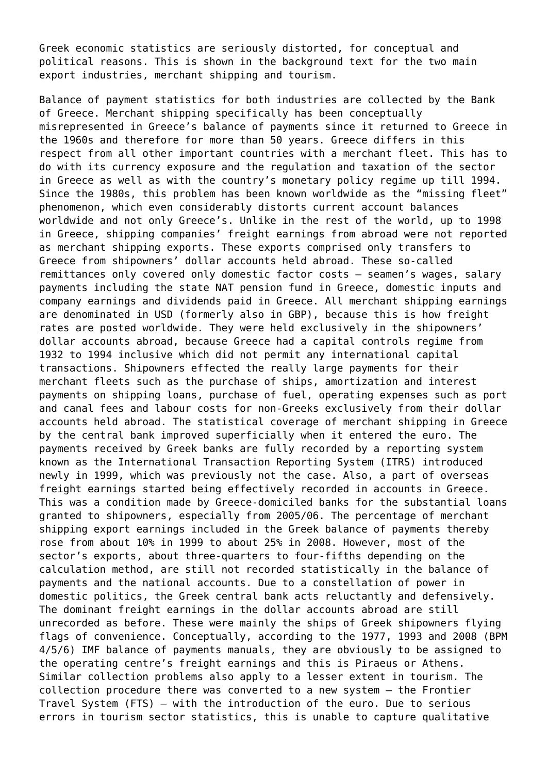Greek economic statistics are seriously distorted, for conceptual and political reasons. This is shown in the background text for the two main export industries, merchant shipping and tourism.

Balance of payment statistics for both industries are collected by the Bank of Greece. Merchant shipping specifically has been conceptually misrepresented in Greece's balance of payments since it returned to Greece in the 1960s and therefore for more than 50 years. Greece differs in this respect from all other important countries with a merchant fleet. This has to do with its currency exposure and the regulation and taxation of the sector in Greece as well as with the country's monetary policy regime up till 1994. Since the 1980s, this problem has been known worldwide as the "missing fleet" phenomenon, which even considerably distorts current account balances worldwide and not only Greece's. Unlike in the rest of the world, up to 1998 in Greece, shipping companies' freight earnings from abroad were not reported as merchant shipping exports. These exports comprised only transfers to Greece from shipowners' dollar accounts held abroad. These so-called remittances only covered only domestic factor costs – seamen's wages, salary payments including the state NAT pension fund in Greece, domestic inputs and company earnings and dividends paid in Greece. All merchant shipping earnings are denominated in USD (formerly also in GBP), because this is how freight rates are posted worldwide. They were held exclusively in the shipowners' dollar accounts abroad, because Greece had a capital controls regime from 1932 to 1994 inclusive which did not permit any international capital transactions. Shipowners effected the really large payments for their merchant fleets such as the purchase of ships, amortization and interest payments on shipping loans, purchase of fuel, operating expenses such as port and canal fees and labour costs for non-Greeks exclusively from their dollar accounts held abroad. The statistical coverage of merchant shipping in Greece by the central bank improved superficially when it entered the euro. The payments received by Greek banks are fully recorded by a reporting system known as the International Transaction Reporting System (ITRS) introduced newly in 1999, which was previously not the case. Also, a part of overseas freight earnings started being effectively recorded in accounts in Greece. This was a condition made by Greece-domiciled banks for the substantial loans granted to shipowners, especially from 2005/06. The percentage of merchant shipping export earnings included in the Greek balance of payments thereby rose from about 10% in 1999 to about 25% in 2008. However, most of the sector's exports, about three-quarters to four-fifths depending on the calculation method, are still not recorded statistically in the balance of payments and the national accounts. Due to a constellation of power in domestic politics, the Greek central bank acts reluctantly and defensively. The dominant freight earnings in the dollar accounts abroad are still unrecorded as before. These were mainly the ships of Greek shipowners flying flags of convenience. Conceptually, according to the 1977, 1993 and 2008 (BPM 4/5/6) IMF balance of payments manuals, they are obviously to be assigned to the operating centre's freight earnings and this is Piraeus or Athens. Similar collection problems also apply to a lesser extent in tourism. The collection procedure there was converted to a new system – the Frontier Travel System (FTS) – with the introduction of the euro. Due to serious errors in tourism sector statistics, this is unable to capture qualitative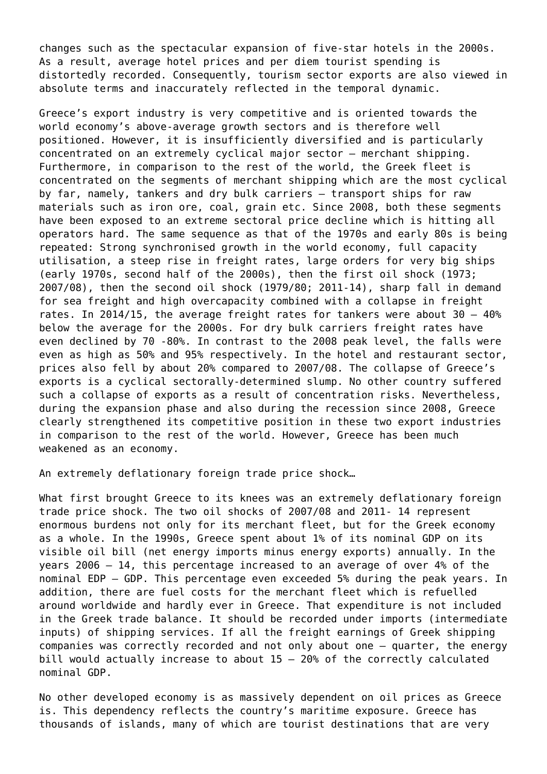changes such as the spectacular expansion of five-star hotels in the 2000s. As a result, average hotel prices and per diem tourist spending is distortedly recorded. Consequently, tourism sector exports are also viewed in absolute terms and inaccurately reflected in the temporal dynamic.

Greece's export industry is very competitive and is oriented towards the world economy's above-average growth sectors and is therefore well positioned. However, it is insufficiently diversified and is particularly concentrated on an extremely cyclical major sector – merchant shipping. Furthermore, in comparison to the rest of the world, the Greek fleet is concentrated on the segments of merchant shipping which are the most cyclical by far, namely, tankers and dry bulk carriers – transport ships for raw materials such as iron ore, coal, grain etc. Since 2008, both these segments have been exposed to an extreme sectoral price decline which is hitting all operators hard. The same sequence as that of the 1970s and early 80s is being repeated: Strong synchronised growth in the world economy, full capacity utilisation, a steep rise in freight rates, large orders for very big ships (early 1970s, second half of the 2000s), then the first oil shock (1973; 2007/08), then the second oil shock (1979/80; 2011-14), sharp fall in demand for sea freight and high overcapacity combined with a collapse in freight rates. In 2014/15, the average freight rates for tankers were about 30 – 40% below the average for the 2000s. For dry bulk carriers freight rates have even declined by 70 -80%. In contrast to the 2008 peak level, the falls were even as high as 50% and 95% respectively. In the hotel and restaurant sector, prices also fell by about 20% compared to 2007/08. The collapse of Greece's exports is a cyclical sectorally-determined slump. No other country suffered such a collapse of exports as a result of concentration risks. Nevertheless, during the expansion phase and also during the recession since 2008, Greece clearly strengthened its competitive position in these two export industries in comparison to the rest of the world. However, Greece has been much weakened as an economy.

An extremely deflationary foreign trade price shock…

What first brought Greece to its knees was an extremely deflationary foreign trade price shock. The two oil shocks of 2007/08 and 2011- 14 represent enormous burdens not only for its merchant fleet, but for the Greek economy as a whole. In the 1990s, Greece spent about 1% of its nominal GDP on its visible oil bill (net energy imports minus energy exports) annually. In the years 2006 – 14, this percentage increased to an average of over 4% of the nominal EDP – GDP. This percentage even exceeded 5% during the peak years. In addition, there are fuel costs for the merchant fleet which is refuelled around worldwide and hardly ever in Greece. That expenditure is not included in the Greek trade balance. It should be recorded under imports (intermediate inputs) of shipping services. If all the freight earnings of Greek shipping companies was correctly recorded and not only about one – quarter, the energy bill would actually increase to about 15 – 20% of the correctly calculated nominal GDP.

No other developed economy is as massively dependent on oil prices as Greece is. This dependency reflects the country's maritime exposure. Greece has thousands of islands, many of which are tourist destinations that are very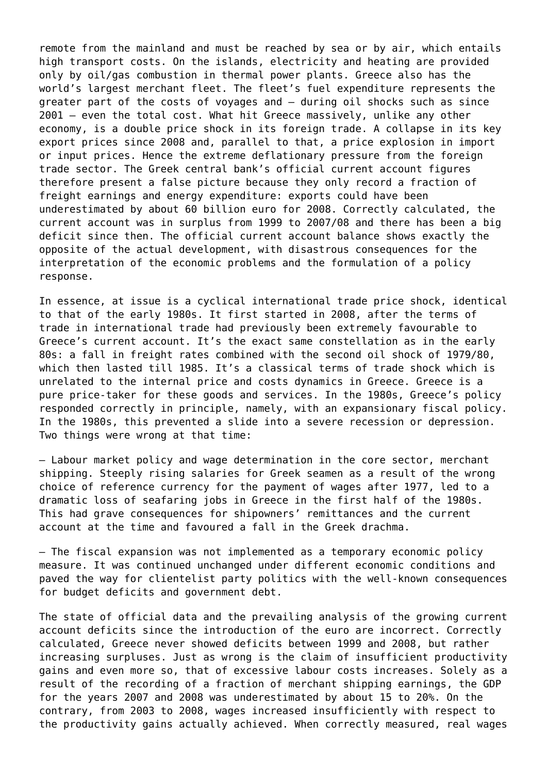remote from the mainland and must be reached by sea or by air, which entails high transport costs. On the islands, electricity and heating are provided only by oil/gas combustion in thermal power plants. Greece also has the world's largest merchant fleet. The fleet's fuel expenditure represents the greater part of the costs of voyages and – during oil shocks such as since 2001 – even the total cost. What hit Greece massively, unlike any other economy, is a double price shock in its foreign trade. A collapse in its key export prices since 2008 and, parallel to that, a price explosion in import or input prices. Hence the extreme deflationary pressure from the foreign trade sector. The Greek central bank's official current account figures therefore present a false picture because they only record a fraction of freight earnings and energy expenditure: exports could have been underestimated by about 60 billion euro for 2008. Correctly calculated, the current account was in surplus from 1999 to 2007/08 and there has been a big deficit since then. The official current account balance shows exactly the opposite of the actual development, with disastrous consequences for the interpretation of the economic problems and the formulation of a policy response.

In essence, at issue is a cyclical international trade price shock, identical to that of the early 1980s. It first started in 2008, after the terms of trade in international trade had previously been extremely favourable to Greece's current account. It's the exact same constellation as in the early 80s: a fall in freight rates combined with the second oil shock of 1979/80, which then lasted till 1985. It's a classical terms of trade shock which is unrelated to the internal price and costs dynamics in Greece. Greece is a pure price-taker for these goods and services. In the 1980s, Greece's policy responded correctly in principle, namely, with an expansionary fiscal policy. In the 1980s, this prevented a slide into a severe recession or depression. Two things were wrong at that time:

– Labour market policy and wage determination in the core sector, merchant shipping. Steeply rising salaries for Greek seamen as a result of the wrong choice of reference currency for the payment of wages after 1977, led to a dramatic loss of seafaring jobs in Greece in the first half of the 1980s. This had grave consequences for shipowners' remittances and the current account at the time and favoured a fall in the Greek drachma.

– The fiscal expansion was not implemented as a temporary economic policy measure. It was continued unchanged under different economic conditions and paved the way for clientelist party politics with the well-known consequences for budget deficits and government debt.

The state of official data and the prevailing analysis of the growing current account deficits since the introduction of the euro are incorrect. Correctly calculated, Greece never showed deficits between 1999 and 2008, but rather increasing surpluses. Just as wrong is the claim of insufficient productivity gains and even more so, that of excessive labour costs increases. Solely as a result of the recording of a fraction of merchant shipping earnings, the GDP for the years 2007 and 2008 was underestimated by about 15 to 20%. On the contrary, from 2003 to 2008, wages increased insufficiently with respect to the productivity gains actually achieved. When correctly measured, real wages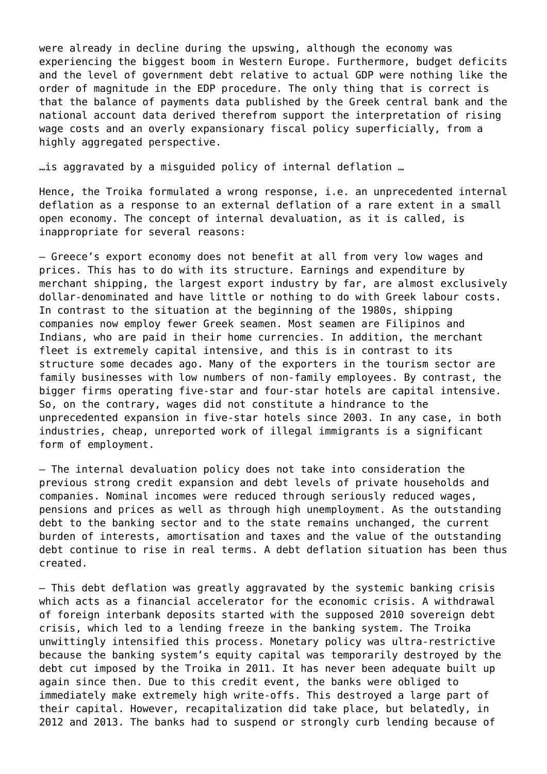were already in decline during the upswing, although the economy was experiencing the biggest boom in Western Europe. Furthermore, budget deficits and the level of government debt relative to actual GDP were nothing like the order of magnitude in the EDP procedure. The only thing that is correct is that the balance of payments data published by the Greek central bank and the national account data derived therefrom support the interpretation of rising wage costs and an overly expansionary fiscal policy superficially, from a highly aggregated perspective.

…is aggravated by a misguided policy of internal deflation …

Hence, the Troika formulated a wrong response, i.e. an unprecedented internal deflation as a response to an external deflation of a rare extent in a small open economy. The concept of internal devaluation, as it is called, is inappropriate for several reasons:

– Greece's export economy does not benefit at all from very low wages and prices. This has to do with its structure. Earnings and expenditure by merchant shipping, the largest export industry by far, are almost exclusively dollar-denominated and have little or nothing to do with Greek labour costs. In contrast to the situation at the beginning of the 1980s, shipping companies now employ fewer Greek seamen. Most seamen are Filipinos and Indians, who are paid in their home currencies. In addition, the merchant fleet is extremely capital intensive, and this is in contrast to its structure some decades ago. Many of the exporters in the tourism sector are family businesses with low numbers of non-family employees. By contrast, the bigger firms operating five-star and four-star hotels are capital intensive. So, on the contrary, wages did not constitute a hindrance to the unprecedented expansion in five-star hotels since 2003. In any case, in both industries, cheap, unreported work of illegal immigrants is a significant form of employment.

– The internal devaluation policy does not take into consideration the previous strong credit expansion and debt levels of private households and companies. Nominal incomes were reduced through seriously reduced wages, pensions and prices as well as through high unemployment. As the outstanding debt to the banking sector and to the state remains unchanged, the current burden of interests, amortisation and taxes and the value of the outstanding debt continue to rise in real terms. A debt deflation situation has been thus created.

– This debt deflation was greatly aggravated by the systemic banking crisis which acts as a financial accelerator for the economic crisis. A withdrawal of foreign interbank deposits started with the supposed 2010 sovereign debt crisis, which led to a lending freeze in the banking system. The Troika unwittingly intensified this process. Monetary policy was ultra-restrictive because the banking system's equity capital was temporarily destroyed by the debt cut imposed by the Troika in 2011. It has never been adequate built up again since then. Due to this credit event, the banks were obliged to immediately make extremely high write-offs. This destroyed a large part of their capital. However, recapitalization did take place, but belatedly, in 2012 and 2013. The banks had to suspend or strongly curb lending because of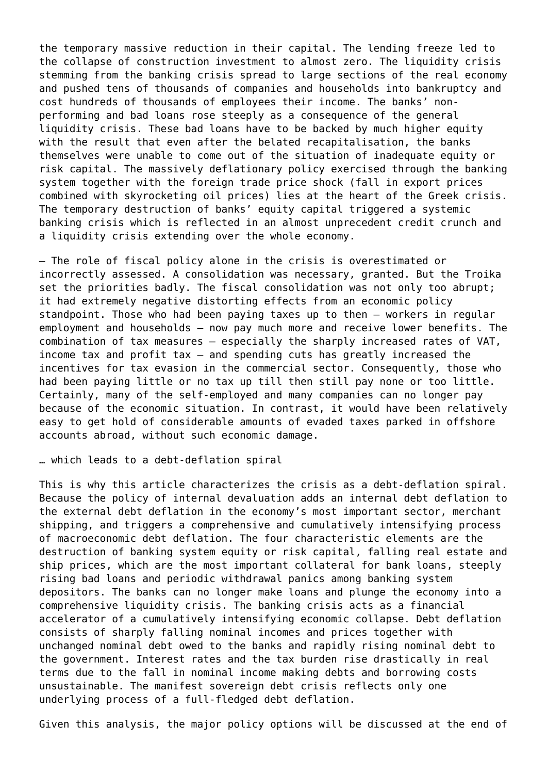the temporary massive reduction in their capital. The lending freeze led to the collapse of construction investment to almost zero. The liquidity crisis stemming from the banking crisis spread to large sections of the real economy and pushed tens of thousands of companies and households into bankruptcy and cost hundreds of thousands of employees their income. The banks' nonperforming and bad loans rose steeply as a consequence of the general liquidity crisis. These bad loans have to be backed by much higher equity with the result that even after the belated recapitalisation, the banks themselves were unable to come out of the situation of inadequate equity or risk capital. The massively deflationary policy exercised through the banking system together with the foreign trade price shock (fall in export prices combined with skyrocketing oil prices) lies at the heart of the Greek crisis. The temporary destruction of banks' equity capital triggered a systemic banking crisis which is reflected in an almost unprecedent credit crunch and a liquidity crisis extending over the whole economy.

– The role of fiscal policy alone in the crisis is overestimated or incorrectly assessed. A consolidation was necessary, granted. But the Troika set the priorities badly. The fiscal consolidation was not only too abrupt; it had extremely negative distorting effects from an economic policy standpoint. Those who had been paying taxes up to then – workers in regular employment and households – now pay much more and receive lower benefits. The combination of tax measures – especially the sharply increased rates of VAT, income tax and profit tax – and spending cuts has greatly increased the incentives for tax evasion in the commercial sector. Consequently, those who had been paying little or no tax up till then still pay none or too little. Certainly, many of the self-employed and many companies can no longer pay because of the economic situation. In contrast, it would have been relatively easy to get hold of considerable amounts of evaded taxes parked in offshore accounts abroad, without such economic damage.

… which leads to a debt-deflation spiral

This is why this article characterizes the crisis as a debt-deflation spiral. Because the policy of internal devaluation adds an internal debt deflation to the external debt deflation in the economy's most important sector, merchant shipping, and triggers a comprehensive and cumulatively intensifying process of macroeconomic debt deflation. The four characteristic elements are the destruction of banking system equity or risk capital, falling real estate and ship prices, which are the most important collateral for bank loans, steeply rising bad loans and periodic withdrawal panics among banking system depositors. The banks can no longer make loans and plunge the economy into a comprehensive liquidity crisis. The banking crisis acts as a financial accelerator of a cumulatively intensifying economic collapse. Debt deflation consists of sharply falling nominal incomes and prices together with unchanged nominal debt owed to the banks and rapidly rising nominal debt to the government. Interest rates and the tax burden rise drastically in real terms due to the fall in nominal income making debts and borrowing costs unsustainable. The manifest sovereign debt crisis reflects only one underlying process of a full-fledged debt deflation.

Given this analysis, the major policy options will be discussed at the end of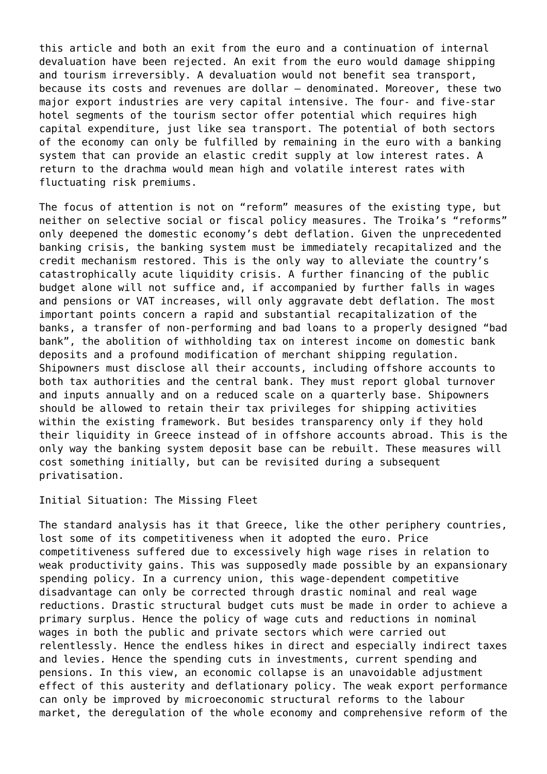this article and both an exit from the euro and a continuation of internal devaluation have been rejected. An exit from the euro would damage shipping and tourism irreversibly. A devaluation would not benefit sea transport, because its costs and revenues are dollar – denominated. Moreover, these two major export industries are very capital intensive. The four- and five-star hotel segments of the tourism sector offer potential which requires high capital expenditure, just like sea transport. The potential of both sectors of the economy can only be fulfilled by remaining in the euro with a banking system that can provide an elastic credit supply at low interest rates. A return to the drachma would mean high and volatile interest rates with fluctuating risk premiums.

The focus of attention is not on "reform" measures of the existing type, but neither on selective social or fiscal policy measures. The Troika's "reforms" only deepened the domestic economy's debt deflation. Given the unprecedented banking crisis, the banking system must be immediately recapitalized and the credit mechanism restored. This is the only way to alleviate the country's catastrophically acute liquidity crisis. A further financing of the public budget alone will not suffice and, if accompanied by further falls in wages and pensions or VAT increases, will only aggravate debt deflation. The most important points concern a rapid and substantial recapitalization of the banks, a transfer of non-performing and bad loans to a properly designed "bad bank", the abolition of withholding tax on interest income on domestic bank deposits and a profound modification of merchant shipping regulation. Shipowners must disclose all their accounts, including offshore accounts to both tax authorities and the central bank. They must report global turnover and inputs annually and on a reduced scale on a quarterly base. Shipowners should be allowed to retain their tax privileges for shipping activities within the existing framework. But besides transparency only if they hold their liquidity in Greece instead of in offshore accounts abroad. This is the only way the banking system deposit base can be rebuilt. These measures will cost something initially, but can be revisited during a subsequent privatisation.

#### Initial Situation: The Missing Fleet

The standard analysis has it that Greece, like the other periphery countries, lost some of its competitiveness when it adopted the euro. Price competitiveness suffered due to excessively high wage rises in relation to weak productivity gains. This was supposedly made possible by an expansionary spending policy. In a currency union, this wage-dependent competitive disadvantage can only be corrected through drastic nominal and real wage reductions. Drastic structural budget cuts must be made in order to achieve a primary surplus. Hence the policy of wage cuts and reductions in nominal wages in both the public and private sectors which were carried out relentlessly. Hence the endless hikes in direct and especially indirect taxes and levies. Hence the spending cuts in investments, current spending and pensions. In this view, an economic collapse is an unavoidable adjustment effect of this austerity and deflationary policy. The weak export performance can only be improved by microeconomic structural reforms to the labour market, the deregulation of the whole economy and comprehensive reform of the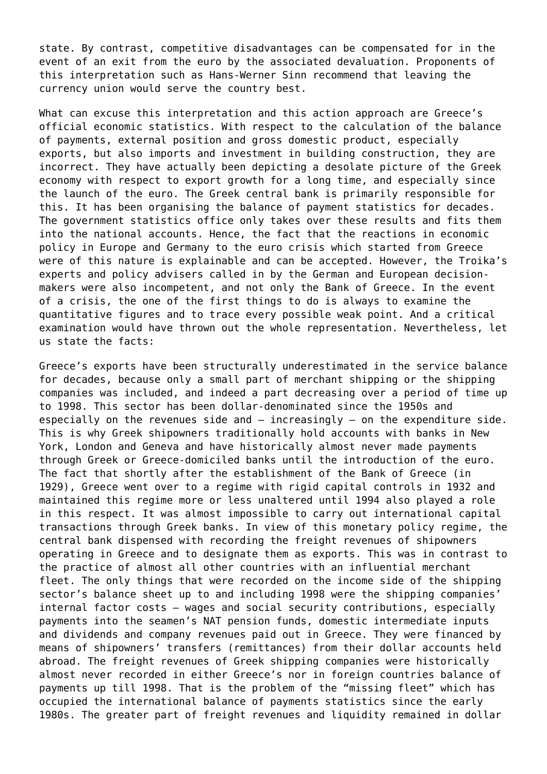state. By contrast, competitive disadvantages can be compensated for in the event of an exit from the euro by the associated devaluation. Proponents of this interpretation such as Hans-Werner Sinn recommend that leaving the currency union would serve the country best.

What can excuse this interpretation and this action approach are Greece's official economic statistics. With respect to the calculation of the balance of payments, external position and gross domestic product, especially exports, but also imports and investment in building construction, they are incorrect. They have actually been depicting a desolate picture of the Greek economy with respect to export growth for a long time, and especially since the launch of the euro. The Greek central bank is primarily responsible for this. It has been organising the balance of payment statistics for decades. The government statistics office only takes over these results and fits them into the national accounts. Hence, the fact that the reactions in economic policy in Europe and Germany to the euro crisis which started from Greece were of this nature is explainable and can be accepted. However, the Troika's experts and policy advisers called in by the German and European decisionmakers were also incompetent, and not only the Bank of Greece. In the event of a crisis, the one of the first things to do is always to examine the quantitative figures and to trace every possible weak point. And a critical examination would have thrown out the whole representation. Nevertheless, let us state the facts:

Greece's exports have been structurally underestimated in the service balance for decades, because only a small part of merchant shipping or the shipping companies was included, and indeed a part decreasing over a period of time up to 1998. This sector has been dollar-denominated since the 1950s and especially on the revenues side and – increasingly – on the expenditure side. This is why Greek shipowners traditionally hold accounts with banks in New York, London and Geneva and have historically almost never made payments through Greek or Greece-domiciled banks until the introduction of the euro. The fact that shortly after the establishment of the Bank of Greece (in 1929), Greece went over to a regime with rigid capital controls in 1932 and maintained this regime more or less unaltered until 1994 also played a role in this respect. It was almost impossible to carry out international capital transactions through Greek banks. In view of this monetary policy regime, the central bank dispensed with recording the freight revenues of shipowners operating in Greece and to designate them as exports. This was in contrast to the practice of almost all other countries with an influential merchant fleet. The only things that were recorded on the income side of the shipping sector's balance sheet up to and including 1998 were the shipping companies' internal factor costs – wages and social security contributions, especially payments into the seamen's NAT pension funds, domestic intermediate inputs and dividends and company revenues paid out in Greece. They were financed by means of shipowners' transfers (remittances) from their dollar accounts held abroad. The freight revenues of Greek shipping companies were historically almost never recorded in either Greece's nor in foreign countries balance of payments up till 1998. That is the problem of the "missing fleet" which has occupied the international balance of payments statistics since the early 1980s. The greater part of freight revenues and liquidity remained in dollar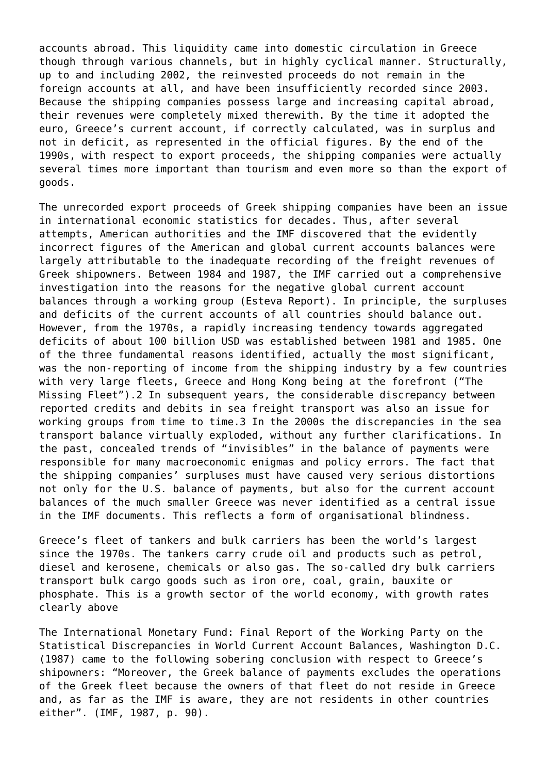accounts abroad. This liquidity came into domestic circulation in Greece though through various channels, but in highly cyclical manner. Structurally, up to and including 2002, the reinvested proceeds do not remain in the foreign accounts at all, and have been insufficiently recorded since 2003. Because the shipping companies possess large and increasing capital abroad, their revenues were completely mixed therewith. By the time it adopted the euro, Greece's current account, if correctly calculated, was in surplus and not in deficit, as represented in the official figures. By the end of the 1990s, with respect to export proceeds, the shipping companies were actually several times more important than tourism and even more so than the export of goods.

The unrecorded export proceeds of Greek shipping companies have been an issue in international economic statistics for decades. Thus, after several attempts, American authorities and the IMF discovered that the evidently incorrect figures of the American and global current accounts balances were largely attributable to the inadequate recording of the freight revenues of Greek shipowners. Between 1984 and 1987, the IMF carried out a comprehensive investigation into the reasons for the negative global current account balances through a working group (Esteva Report). In principle, the surpluses and deficits of the current accounts of all countries should balance out. However, from the 1970s, a rapidly increasing tendency towards aggregated deficits of about 100 billion USD was established between 1981 and 1985. One of the three fundamental reasons identified, actually the most significant, was the non-reporting of income from the shipping industry by a few countries with very large fleets, Greece and Hong Kong being at the forefront ("The Missing Fleet").2 In subsequent years, the considerable discrepancy between reported credits and debits in sea freight transport was also an issue for working groups from time to time.3 In the 2000s the discrepancies in the sea transport balance virtually exploded, without any further clarifications. In the past, concealed trends of "invisibles" in the balance of payments were responsible for many macroeconomic enigmas and policy errors. The fact that the shipping companies' surpluses must have caused very serious distortions not only for the U.S. balance of payments, but also for the current account balances of the much smaller Greece was never identified as a central issue in the IMF documents. This reflects a form of organisational blindness.

Greece's fleet of tankers and bulk carriers has been the world's largest since the 1970s. The tankers carry crude oil and products such as petrol, diesel and kerosene, chemicals or also gas. The so-called dry bulk carriers transport bulk cargo goods such as iron ore, coal, grain, bauxite or phosphate. This is a growth sector of the world economy, with growth rates clearly above

The International Monetary Fund: Final Report of the Working Party on the Statistical Discrepancies in World Current Account Balances, Washington D.C. (1987) came to the following sobering conclusion with respect to Greece's shipowners: "Moreover, the Greek balance of payments excludes the operations of the Greek fleet because the owners of that fleet do not reside in Greece and, as far as the IMF is aware, they are not residents in other countries either". (IMF, 1987, p. 90).